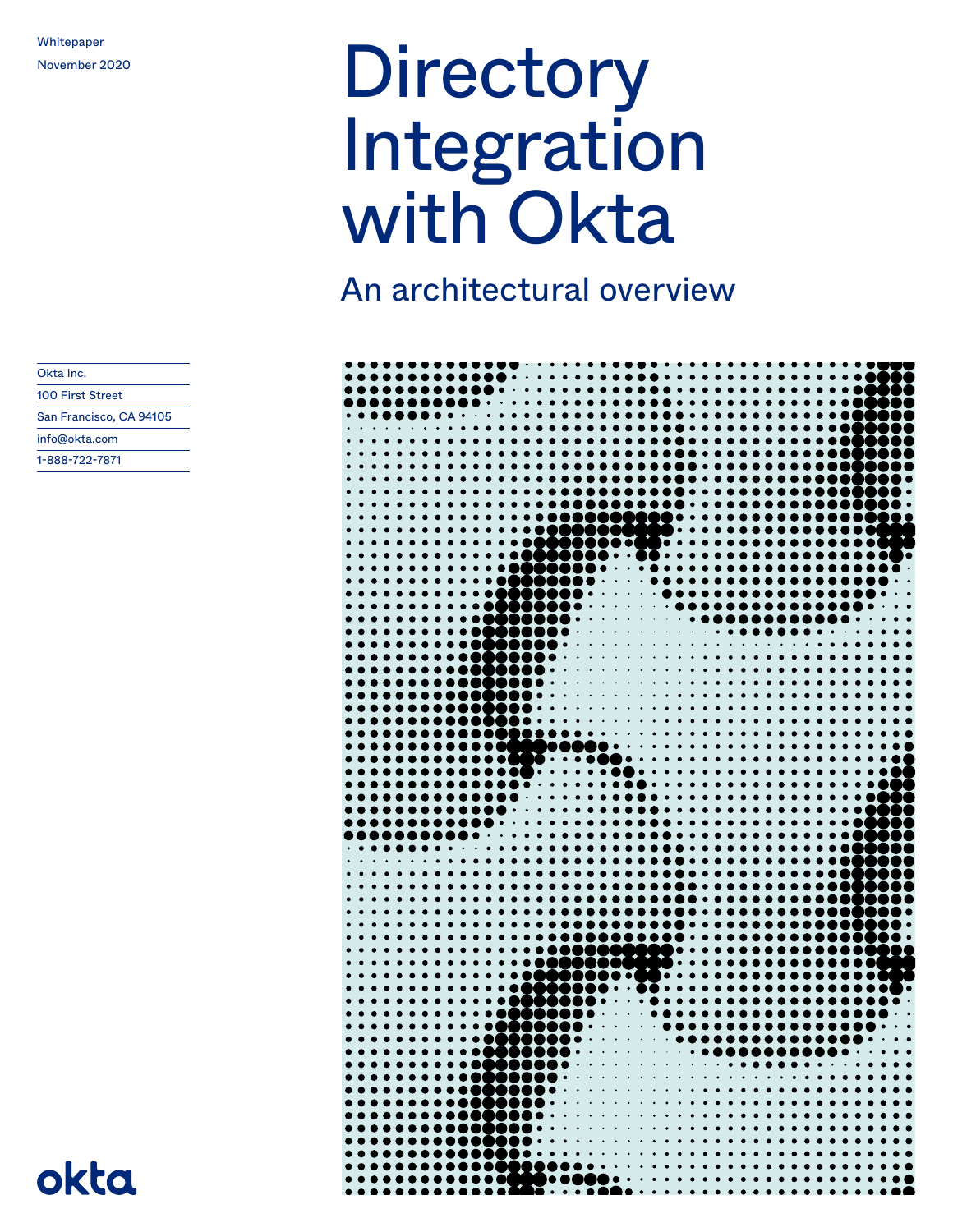# Whitepaper<br>November 2020 Integration with Okta

An architectural overview

| $\bullet$                                                                                                                                                                                                                                                                                                                                                                                |                                                                                                                                                                                                                                                                                   |
|------------------------------------------------------------------------------------------------------------------------------------------------------------------------------------------------------------------------------------------------------------------------------------------------------------------------------------------------------------------------------------------|-----------------------------------------------------------------------------------------------------------------------------------------------------------------------------------------------------------------------------------------------------------------------------------|
|                                                                                                                                                                                                                                                                                                                                                                                          |                                                                                                                                                                                                                                                                                   |
| . <b>.</b>                                                                                                                                                                                                                                                                                                                                                                               |                                                                                                                                                                                                                                                                                   |
| $\bullet$                                                                                                                                                                                                                                                                                                                                                                                |                                                                                                                                                                                                                                                                                   |
| $\bullet$                                                                                                                                                                                                                                                                                                                                                                                |                                                                                                                                                                                                                                                                                   |
|                                                                                                                                                                                                                                                                                                                                                                                          |                                                                                                                                                                                                                                                                                   |
|                                                                                                                                                                                                                                                                                                                                                                                          |                                                                                                                                                                                                                                                                                   |
|                                                                                                                                                                                                                                                                                                                                                                                          |                                                                                                                                                                                                                                                                                   |
| $\bullet$                                                                                                                                                                                                                                                                                                                                                                                |                                                                                                                                                                                                                                                                                   |
| . <b>.</b> .                                                                                                                                                                                                                                                                                                                                                                             | , <b>. .</b> .                                                                                                                                                                                                                                                                    |
|                                                                                                                                                                                                                                                                                                                                                                                          |                                                                                                                                                                                                                                                                                   |
| . <b>.</b> .<br>$\bullet$                                                                                                                                                                                                                                                                                                                                                                |                                                                                                                                                                                                                                                                                   |
| . <b>. 0</b><br>JOO                                                                                                                                                                                                                                                                                                                                                                      |                                                                                                                                                                                                                                                                                   |
| $\bullet\,\bullet\,\bullet\,\bullet\,\bullet\,\bullet\,\bullet\,\bullet$                                                                                                                                                                                                                                                                                                                 |                                                                                                                                                                                                                                                                                   |
| $\bullet\hspace{1mm}\bullet\hspace{1mm}$                                                                                                                                                                                                                                                                                                                                                 | . . <b>. .</b> .<br>lo                                                                                                                                                                                                                                                            |
|                                                                                                                                                                                                                                                                                                                                                                                          |                                                                                                                                                                                                                                                                                   |
|                                                                                                                                                                                                                                                                                                                                                                                          | $\bullet\bullet\bullet\bullet\bullet\bullet$                                                                                                                                                                                                                                      |
| ) OB                                                                                                                                                                                                                                                                                                                                                                                     |                                                                                                                                                                                                                                                                                   |
| ,,,,,,<br>$\bullet\bullet\bullet\bullet\bullet$<br>$\bullet$ , $\bullet$ , $\bullet$<br>$\bullet\bullet$                                                                                                                                                                                                                                                                                 |                                                                                                                                                                                                                                                                                   |
|                                                                                                                                                                                                                                                                                                                                                                                          |                                                                                                                                                                                                                                                                                   |
|                                                                                                                                                                                                                                                                                                                                                                                          |                                                                                                                                                                                                                                                                                   |
|                                                                                                                                                                                                                                                                                                                                                                                          |                                                                                                                                                                                                                                                                                   |
|                                                                                                                                                                                                                                                                                                                                                                                          |                                                                                                                                                                                                                                                                                   |
| , . <b>.</b> .<br>.                                                                                                                                                                                                                                                                                                                                                                      |                                                                                                                                                                                                                                                                                   |
|                                                                                                                                                                                                                                                                                                                                                                                          |                                                                                                                                                                                                                                                                                   |
|                                                                                                                                                                                                                                                                                                                                                                                          |                                                                                                                                                                                                                                                                                   |
| D● •  •                                                                                                                                                                                                                                                                                                                                                                                  |                                                                                                                                                                                                                                                                                   |
| . <b>.</b> .                                                                                                                                                                                                                                                                                                                                                                             |                                                                                                                                                                                                                                                                                   |
| . <b>.</b>                                                                                                                                                                                                                                                                                                                                                                               |                                                                                                                                                                                                                                                                                   |
| . <b>.</b>                                                                                                                                                                                                                                                                                                                                                                               |                                                                                                                                                                                                                                                                                   |
|                                                                                                                                                                                                                                                                                                                                                                                          |                                                                                                                                                                                                                                                                                   |
|                                                                                                                                                                                                                                                                                                                                                                                          |                                                                                                                                                                                                                                                                                   |
| $\bullet$ $\bullet$                                                                                                                                                                                                                                                                                                                                                                      |                                                                                                                                                                                                                                                                                   |
|                                                                                                                                                                                                                                                                                                                                                                                          |                                                                                                                                                                                                                                                                                   |
| $\bullet$                                                                                                                                                                                                                                                                                                                                                                                | <b>.</b>                                                                                                                                                                                                                                                                          |
| X.<br>$\cdots$                                                                                                                                                                                                                                                                                                                                                                           |                                                                                                                                                                                                                                                                                   |
| $\bullet\quad \bullet$<br>$\bullet\bullet\bullet\bullet$<br>I O OI<br>$\bullet$                                                                                                                                                                                                                                                                                                          | $\bullet \cdot \cdot \cdot \cdot \cdot \cdot \cdot \cdot \cdot \cdot \cdot \cdot \cdot \cdot \cdot$                                                                                                                                                                               |
|                                                                                                                                                                                                                                                                                                                                                                                          |                                                                                                                                                                                                                                                                                   |
|                                                                                                                                                                                                                                                                                                                                                                                          |                                                                                                                                                                                                                                                                                   |
|                                                                                                                                                                                                                                                                                                                                                                                          |                                                                                                                                                                                                                                                                                   |
| $\bullet\bullet\bullet\bullet\bullet\cdot\cdot\cdot$<br>$\bullet\hspace{1mm}\bullet\hspace{1mm}$                                                                                                                                                                                                                                                                                         |                                                                                                                                                                                                                                                                                   |
|                                                                                                                                                                                                                                                                                                                                                                                          |                                                                                                                                                                                                                                                                                   |
|                                                                                                                                                                                                                                                                                                                                                                                          |                                                                                                                                                                                                                                                                                   |
|                                                                                                                                                                                                                                                                                                                                                                                          | DО                                                                                                                                                                                                                                                                                |
| <b>. 06</b><br>$\bullet\hspace{1mm}\bullet\hspace{1mm}$                                                                                                                                                                                                                                                                                                                                  |                                                                                                                                                                                                                                                                                   |
| $\bullet\bullet\bullet\bullet\bullet\bullet$<br>$\bullet\bullet$                                                                                                                                                                                                                                                                                                                         |                                                                                                                                                                                                                                                                                   |
|                                                                                                                                                                                                                                                                                                                                                                                          |                                                                                                                                                                                                                                                                                   |
|                                                                                                                                                                                                                                                                                                                                                                                          |                                                                                                                                                                                                                                                                                   |
| $\bullet$<br>$\bullet$<br>$\bullet\hspace{0.4mm}\bullet\hspace{0.4mm}\bullet\hspace{0.4mm}\bullet\hspace{0.4mm}\bullet$                                                                                                                                                                                                                                                                  | .                                                                                                                                                                                                                                                                                 |
|                                                                                                                                                                                                                                                                                                                                                                                          |                                                                                                                                                                                                                                                                                   |
|                                                                                                                                                                                                                                                                                                                                                                                          | <b>.</b> .                                                                                                                                                                                                                                                                        |
|                                                                                                                                                                                                                                                                                                                                                                                          |                                                                                                                                                                                                                                                                                   |
| $\bullet$                                                                                                                                                                                                                                                                                                                                                                                |                                                                                                                                                                                                                                                                                   |
| $\bullet\bullet\bullet\bullet$<br>, <b>, , , , ,</b>                                                                                                                                                                                                                                                                                                                                     |                                                                                                                                                                                                                                                                                   |
| <b></b>                                                                                                                                                                                                                                                                                                                                                                                  | . .                                                                                                                                                                                                                                                                               |
| $\bullet\bullet\bullet\bullet$                                                                                                                                                                                                                                                                                                                                                           |                                                                                                                                                                                                                                                                                   |
|                                                                                                                                                                                                                                                                                                                                                                                          | <b>1000</b><br>122                                                                                                                                                                                                                                                                |
| . <b>.</b> .                                                                                                                                                                                                                                                                                                                                                                             |                                                                                                                                                                                                                                                                                   |
|                                                                                                                                                                                                                                                                                                                                                                                          |                                                                                                                                                                                                                                                                                   |
|                                                                                                                                                                                                                                                                                                                                                                                          | ۰.                                                                                                                                                                                                                                                                                |
|                                                                                                                                                                                                                                                                                                                                                                                          |                                                                                                                                                                                                                                                                                   |
|                                                                                                                                                                                                                                                                                                                                                                                          |                                                                                                                                                                                                                                                                                   |
| $\bullet$                                                                                                                                                                                                                                                                                                                                                                                |                                                                                                                                                                                                                                                                                   |
|                                                                                                                                                                                                                                                                                                                                                                                          |                                                                                                                                                                                                                                                                                   |
|                                                                                                                                                                                                                                                                                                                                                                                          |                                                                                                                                                                                                                                                                                   |
|                                                                                                                                                                                                                                                                                                                                                                                          |                                                                                                                                                                                                                                                                                   |
|                                                                                                                                                                                                                                                                                                                                                                                          |                                                                                                                                                                                                                                                                                   |
| $\bullet\bullet\bullet\bullet\bullet\bullet\bullet\bullet\bullet\bullet\bullet\bullet$                                                                                                                                                                                                                                                                                                   |                                                                                                                                                                                                                                                                                   |
|                                                                                                                                                                                                                                                                                                                                                                                          | . <b>.</b>                                                                                                                                                                                                                                                                        |
|                                                                                                                                                                                                                                                                                                                                                                                          |                                                                                                                                                                                                                                                                                   |
|                                                                                                                                                                                                                                                                                                                                                                                          |                                                                                                                                                                                                                                                                                   |
|                                                                                                                                                                                                                                                                                                                                                                                          | $\bullet\hspace{0.4mm}\bullet\hspace{0.4mm}\bullet\hspace{0.4mm}\bullet$                                                                                                                                                                                                          |
| . <b>.</b>                                                                                                                                                                                                                                                                                                                                                                               | $\bullet$ $\bullet$                                                                                                                                                                                                                                                               |
| . <b>.</b><br>$\bullet$ $\bullet$                                                                                                                                                                                                                                                                                                                                                        | $\bullet\hspace{0.4mm}\bullet\hspace{0.4mm}\bullet\hspace{0.4mm}\bullet$                                                                                                                                                                                                          |
|                                                                                                                                                                                                                                                                                                                                                                                          |                                                                                                                                                                                                                                                                                   |
|                                                                                                                                                                                                                                                                                                                                                                                          |                                                                                                                                                                                                                                                                                   |
|                                                                                                                                                                                                                                                                                                                                                                                          | $\bullet$ $\bullet$                                                                                                                                                                                                                                                               |
| $\begin{picture}(180,10) \put(0,0){\vector(1,0){100}} \put(0,0){\vector(1,0){100}} \put(0,0){\vector(1,0){100}} \put(0,0){\vector(1,0){100}} \put(0,0){\vector(1,0){100}} \put(0,0){\vector(1,0){100}} \put(0,0){\vector(1,0){100}} \put(0,0){\vector(1,0){100}} \put(0,0){\vector(1,0){100}} \put(0,0){\vector(1,0){100}} \put(0,0){\vector(1,0){100}} \put(0,0){\vector($<br>$\bullet$ | $\bullet\hspace{0.4mm}\bullet\hspace{0.4mm}\bullet\hspace{0.4mm}\bullet\hspace{0.4mm}\bullet$                                                                                                                                                                                     |
|                                                                                                                                                                                                                                                                                                                                                                                          | $\bullet\hspace{0.1cm} \bullet\hspace{0.1cm} \bullet\hspace{0.1cm} \bullet\hspace{0.1cm} \bullet\hspace{0.1cm} \bullet\hspace{0.1cm} \bullet\hspace{0.1cm} \bullet\hspace{0.1cm} \bullet\hspace{0.1cm} \bullet\hspace{0.1cm} \bullet\hspace{0.1cm} \bullet\hspace{0.1cm} \bullet$ |
|                                                                                                                                                                                                                                                                                                                                                                                          | $\bullet\hspace{0.4mm}\bullet\hspace{0.4mm}\bullet\hspace{0.4mm}\bullet$<br>Υ                                                                                                                                                                                                     |

| Okta Inc.               |
|-------------------------|
| 100 First Street        |
| San Francisco, CA 94105 |
| info@okta.com           |
| 1-888-722-7871          |
|                         |

okta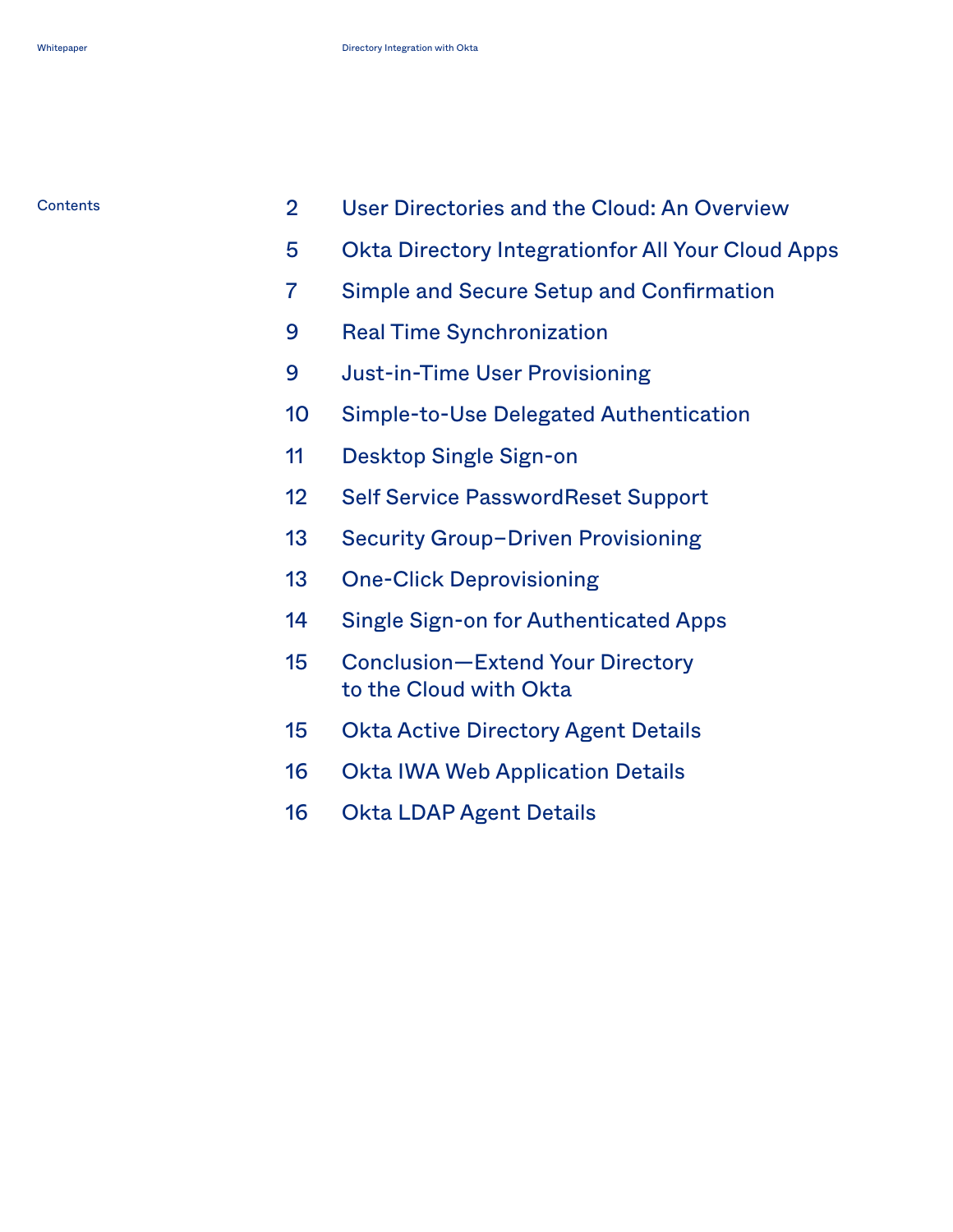| Contents |  | User Directories and the Cloud: An Overview |  |  |  |
|----------|--|---------------------------------------------|--|--|--|
|----------|--|---------------------------------------------|--|--|--|

- [Okta Directory Integrationfor All Your Cloud Apps](#page-5-0)
- [Simple and Secure Setup and Confirmation](#page-7-0)
- [Real Time Synchronization](#page-9-0)
- [Just-in-Time User Provisioning](#page-9-0)
- [Simple-to-Use Delegated Authentication](#page-10-0)
- [Desktop Single Sign-on](#page-11-0)
- [Self Service PasswordReset Support](#page-12-0)
- 13 Security Group-Driven Provisioning
- [One-Click Deprovisioning](#page-13-0)
- [Single Sign-on for Authenticated Apps](#page-14-0)
- [Conclusion—Extend Your Directory](#page-15-0)  [to the Cloud with Okta](#page-15-0)
- [Okta Active Directory Agent Details](#page-15-0)
- [Okta IWA Web Application Details](#page-16-0)
- [Okta LDAP Agent Details](#page-16-0)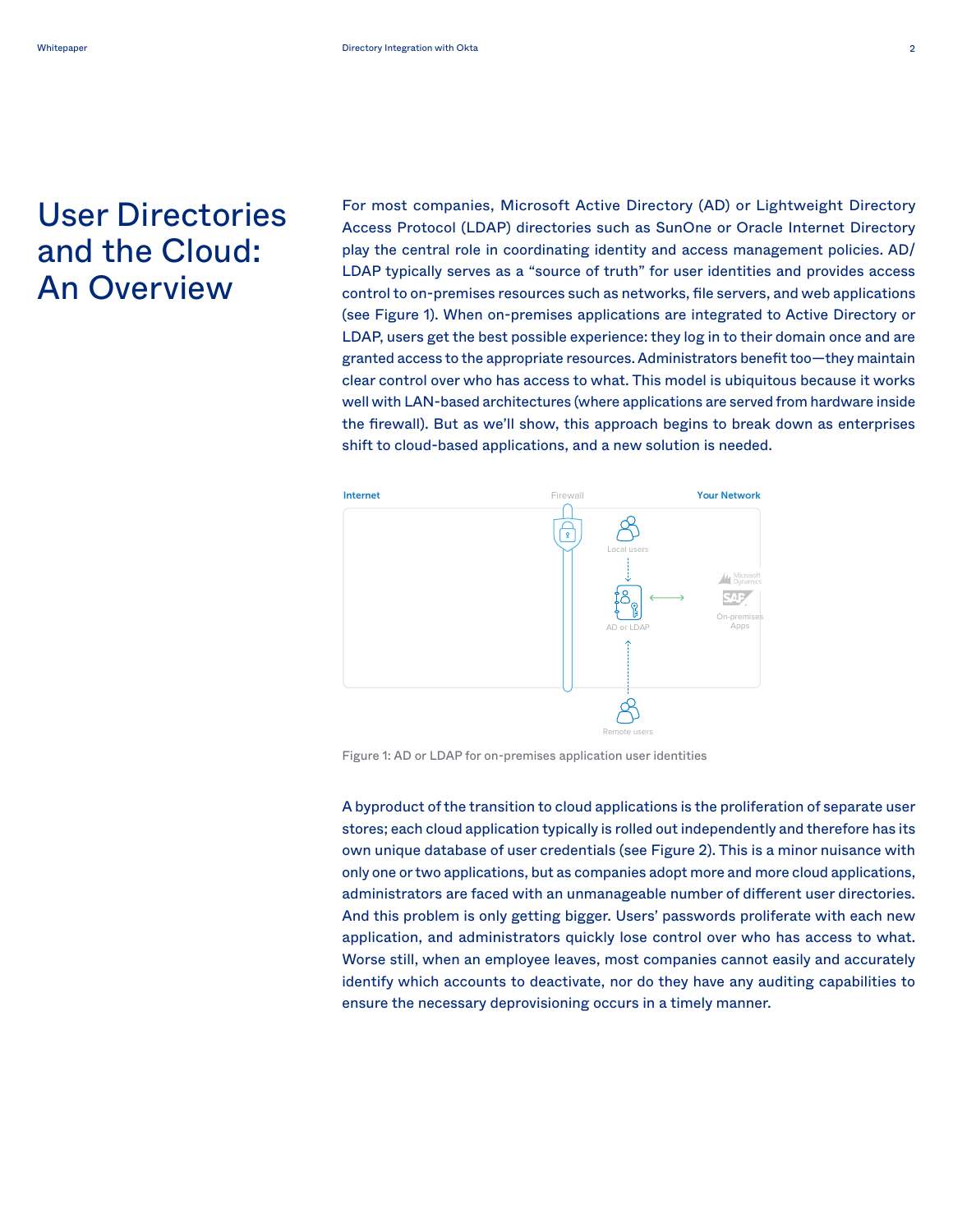# <span id="page-2-0"></span>User Directories and the Cloud: An Overview

For most companies, Microsoft Active Directory (AD) or Lightweight Directory Access Protocol (LDAP) directories such as SunOne or Oracle Internet Directory play the central role in coordinating identity and access management policies. AD/ LDAP typically serves as a "source of truth" for user identities and provides access control to on-premises resources such as networks, file servers, and web applications (see Figure 1). When on-premises applications are integrated to Active Directory or LDAP, users get the best possible experience: they log in to their domain once and are granted access to the appropriate resources. Administrators benefit too-they maintain clear control over who has access to what. This model is ubiquitous because it works well with LAN-based architectures (where applications are served from hardware inside the firewall). But as we'll show, this approach begins to break down as enterprises shift to cloud-based applications, and a new solution is needed. *Figure 2: Adoption of cloud applications leads to proliferation of*  provide integrate and contact to integrate and contact to integrate and contact to integrate and contact to in a single, shared identity store (see Figure 3). Active Directory or



Figure 1: AD or LDAP for on-premises application user identities *Figure 1: AD or LDAP for on-premises application user identities*

A byproduct of the transition to cloud applications is the A byproduct of the transition to cloud applications is the proliferation of separate user stores; each cloud application typically is rolled out independently and therefore has its own unique database of user credentials (see Figure 2). This is a minor nuisance with only one or two applications, but as companies adopt more and more cloud applications, administrators are faced with an unmanageable number of different user directories. And this problem is only getting bigger. Users' passwords proliferate with each new where still, when an employee leaves, most companies cannot easily and accurately identify which accounts to deactivate, nor do they have any auditing capabilities to ensure the necessary deprovisioning occurs in a timely manner. application, and administrators quickly lose control over who has access to what.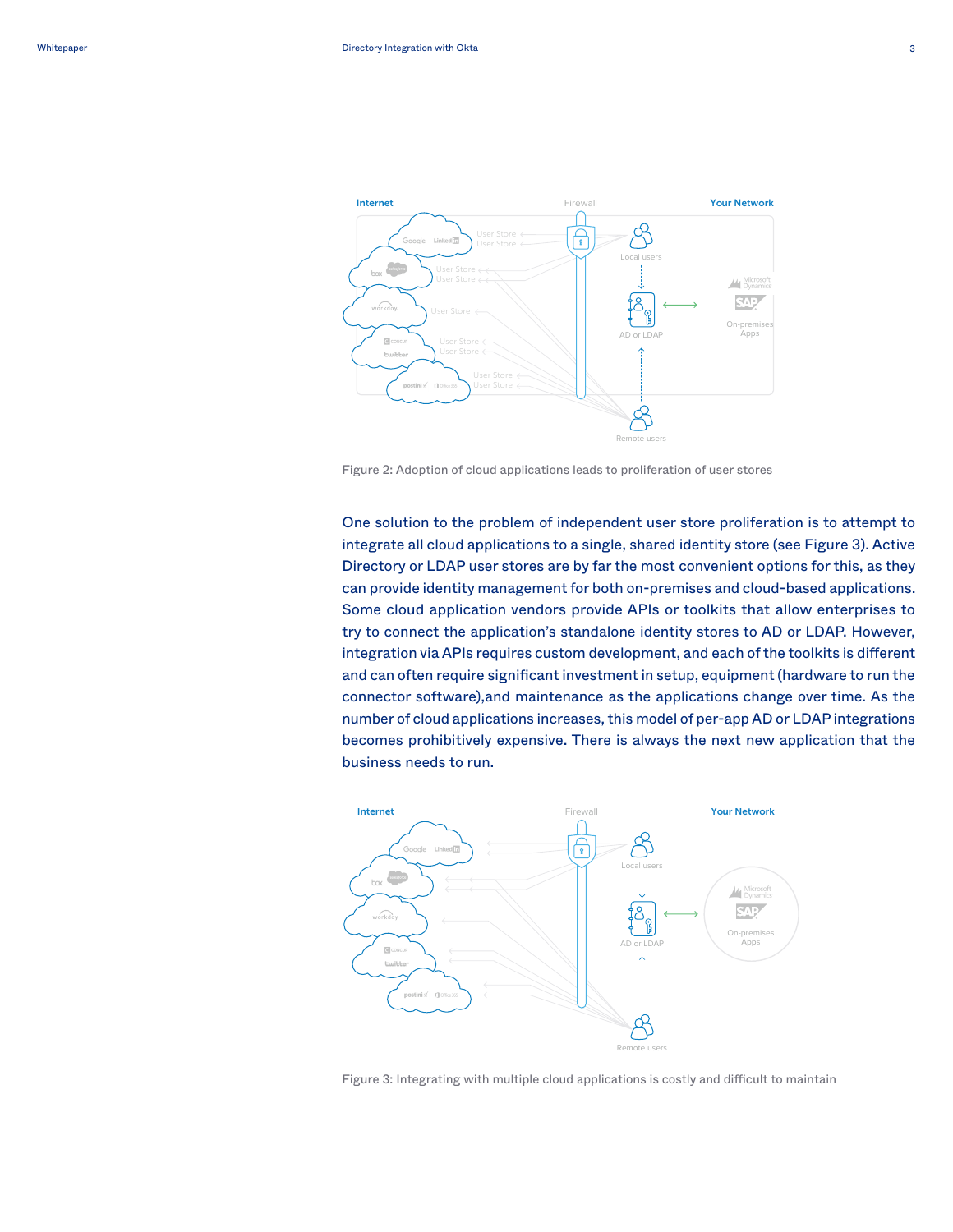

Figure 2: Adoption of cloud applications leads to proliferation of user stores

One solution to the problem of independent user store proliferation is to attempt to integrate all cloud applications to a single, shared identity store (see Figure 3). Active Directory or LDAP user stores are by far the most convenient options for this, as they Some cloud application vendors provide APIs or toolkits that allow enterprises to Some cloud application vendors provide APIs or toolkits that allow enterprises to try to connect the application's standalone identity stores to AD or LDAP. However, to some can application some clouds about the toolkits is different integration via APIs requires custom development, and each of the toolkits is different and can often require significant investment in setup, equipment (hardware to run the connector software),and maintenance as the applications change over time. As the number of cloud applications increases, this model of per-app AD or LDAP integrations becomes prohibitively expensive. There is always the next new application that the can provide identity management for both on-premises and cloud-based applications. business needs to run.



Figure 3: Integrating with multiple cloud applications is costly and difficult to maintain *Figure 3: Integrating with multiple cloud applications is costly*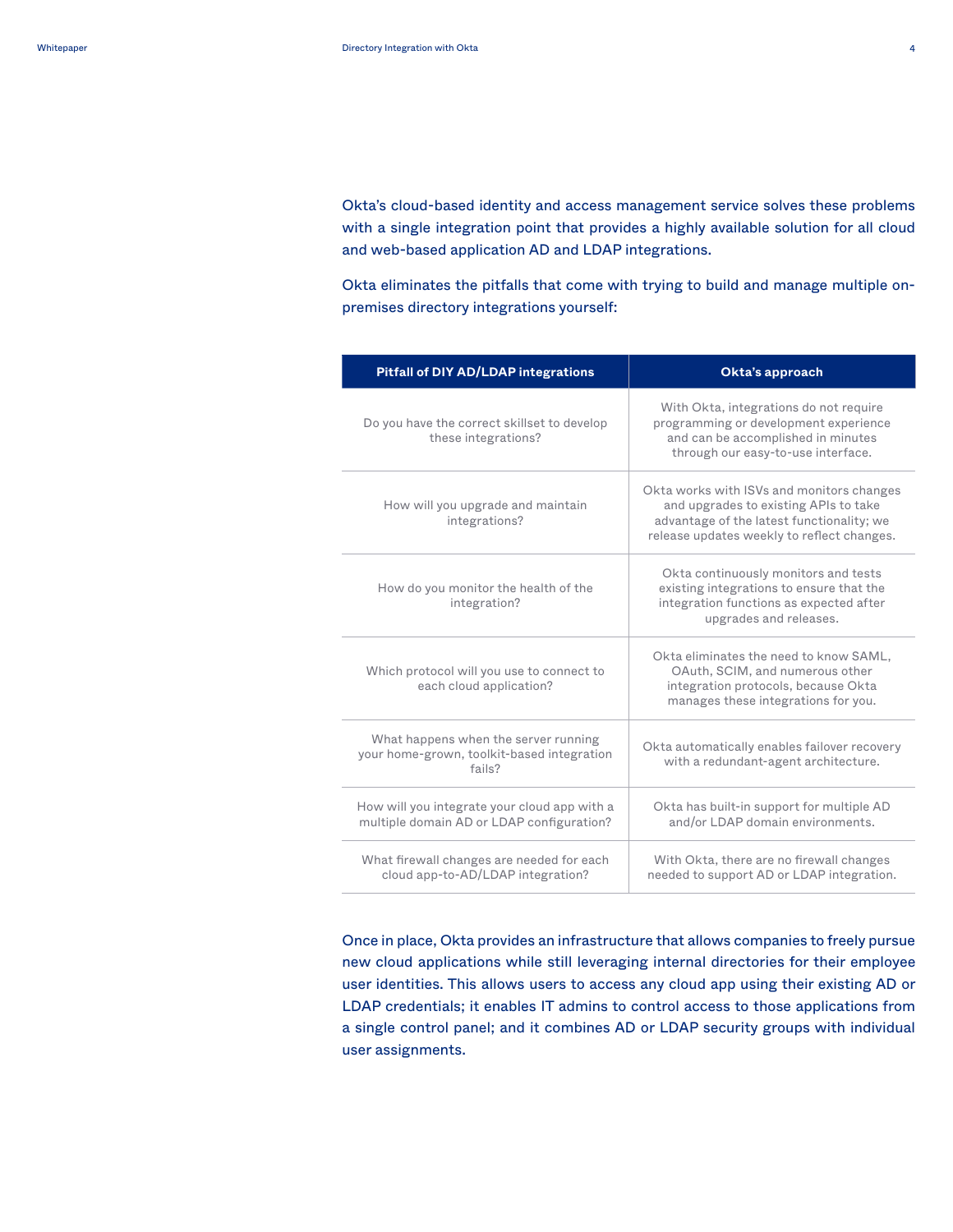Okta's cloud-based identity and access management service solves these problems with a single integration point that provides a highly available solution for all cloud and web-based application AD and LDAP integrations.

Okta eliminates the pitfalls that come with trying to build and manage multiple onpremises directory integrations yourself:

| <b>Pitfall of DIY AD/LDAP integrations</b>                                                   | Okta's approach                                                                                                                                                               |
|----------------------------------------------------------------------------------------------|-------------------------------------------------------------------------------------------------------------------------------------------------------------------------------|
| Do you have the correct skillset to develop<br>these integrations?                           | With Okta, integrations do not require<br>programming or development experience<br>and can be accomplished in minutes<br>through our easy-to-use interface.                   |
| How will you upgrade and maintain<br>integrations?                                           | Okta works with ISVs and monitors changes<br>and upgrades to existing APIs to take<br>advantage of the latest functionality; we<br>release updates weekly to reflect changes. |
| How do you monitor the health of the<br>integration?                                         | Okta continuously monitors and tests<br>existing integrations to ensure that the<br>integration functions as expected after<br>upgrades and releases.                         |
| Which protocol will you use to connect to<br>each cloud application?                         | Okta eliminates the need to know SAML,<br>OAuth, SCIM, and numerous other<br>integration protocols, because Okta<br>manages these integrations for you.                       |
| What happens when the server running<br>your home-grown, toolkit-based integration<br>fails? | Okta automatically enables failover recovery<br>with a redundant-agent architecture.                                                                                          |
| How will you integrate your cloud app with a<br>multiple domain AD or LDAP configuration?    | Okta has built-in support for multiple AD<br>and/or LDAP domain environments.                                                                                                 |
| What firewall changes are needed for each<br>cloud app-to-AD/LDAP integration?               | With Okta, there are no firewall changes<br>needed to support AD or LDAP integration.                                                                                         |

Once in place, Okta provides an infrastructure that allows companies to freely pursue new cloud applications while still leveraging internal directories for their employee user identities. This allows users to access any cloud app using their existing AD or LDAP credentials; it enables IT admins to control access to those applications from a single control panel; and it combines AD or LDAP security groups with individual user assignments.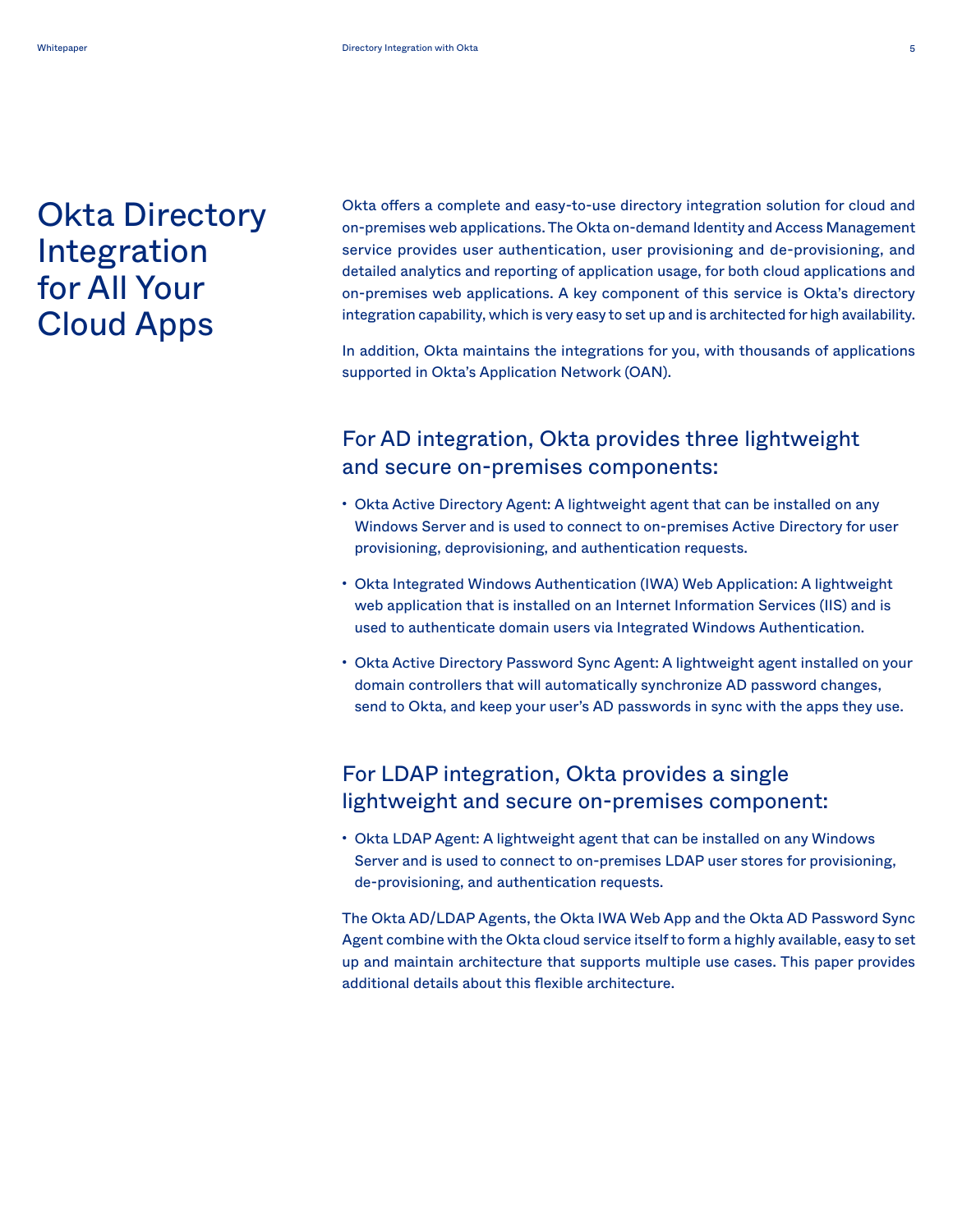# <span id="page-5-0"></span>Okta Directory Integration for All Your Cloud Apps

Okta offers a complete and easy-to-use directory integration solution for cloud and on-premises web applications. The Okta on-demand Identity and Access Management service provides user authentication, user provisioning and de-provisioning, and detailed analytics and reporting of application usage, for both cloud applications and on-premises web applications. A key component of this service is Okta's directory integration capability, which is very easy to set up and is architected for high availability.

In addition, Okta maintains the integrations for you, with thousands of applications supported in Okta's Application Network (OAN).

### For AD integration, Okta provides three lightweight and secure on-premises components:

- Okta Active Directory Agent: A lightweight agent that can be installed on any Windows Server and is used to connect to on-premises Active Directory for user provisioning, deprovisioning, and authentication requests.
- Okta Integrated Windows Authentication (IWA) Web Application: A lightweight web application that is installed on an Internet Information Services (IIS) and is used to authenticate domain users via Integrated Windows Authentication.
- Okta Active Directory Password Sync Agent: A lightweight agent installed on your domain controllers that will automatically synchronize AD password changes, send to Okta, and keep your user's AD passwords in sync with the apps they use.

### For LDAP integration, Okta provides a single lightweight and secure on-premises component:

• Okta LDAP Agent: A lightweight agent that can be installed on any Windows Server and is used to connect to on-premises LDAP user stores for provisioning, de-provisioning, and authentication requests.

The Okta AD/LDAP Agents, the Okta IWA Web App and the Okta AD Password Sync Agent combine with the Okta cloud service itself to form a highly available, easy to set up and maintain architecture that supports multiple use cases. This paper provides additional details about this flexible architecture.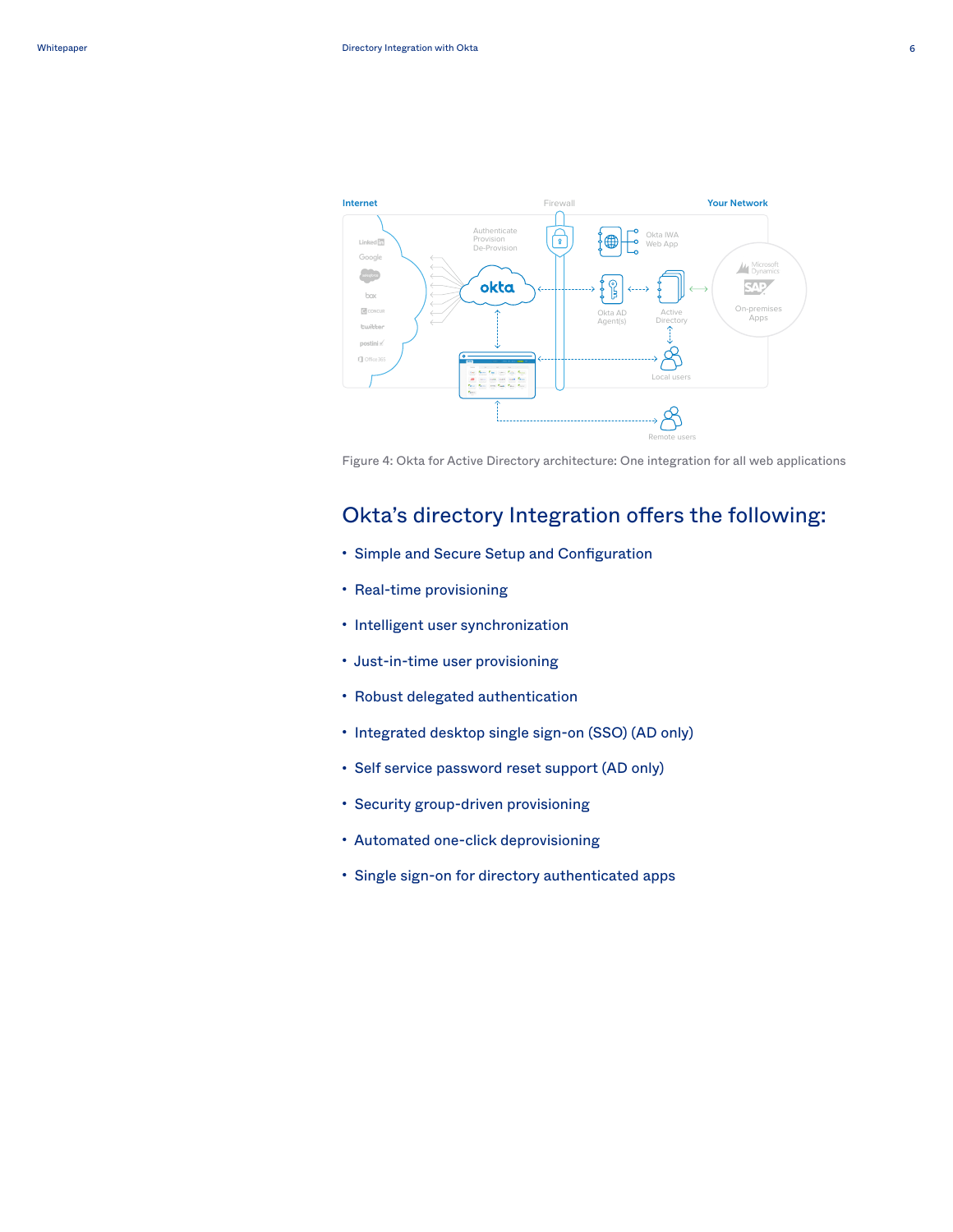



Figure 4: Okta for Active Directory architecture: One integration for all web applications *Figure 4: Okta for Active Directory architecture: One integration* 

### Okta's directory Integration offers the following: Okta's directory Integration offers the following:

- Simple and Secure Setup and Configuration Simple and Secure Setup and Configuration
- Real-time provisioning Real-time provisioning
- Intelligent user synchronization Intelligent user synchronization
- Just-in-time user provisioning Just-in-time user provisioning
- Robust delegated authentication Robust delegated authentication
- Integrated desktop single sign-on (SSO) (AD only) Integrated desktop single sign-on (SSO) (AD only)
- Self service password reset support (AD only) Self service password reset support (AD only)
- Security group-driven provisioning Security group-driven provisioning
- Automated one-click deprovisioning
- Single sign-on for directory authenticated apps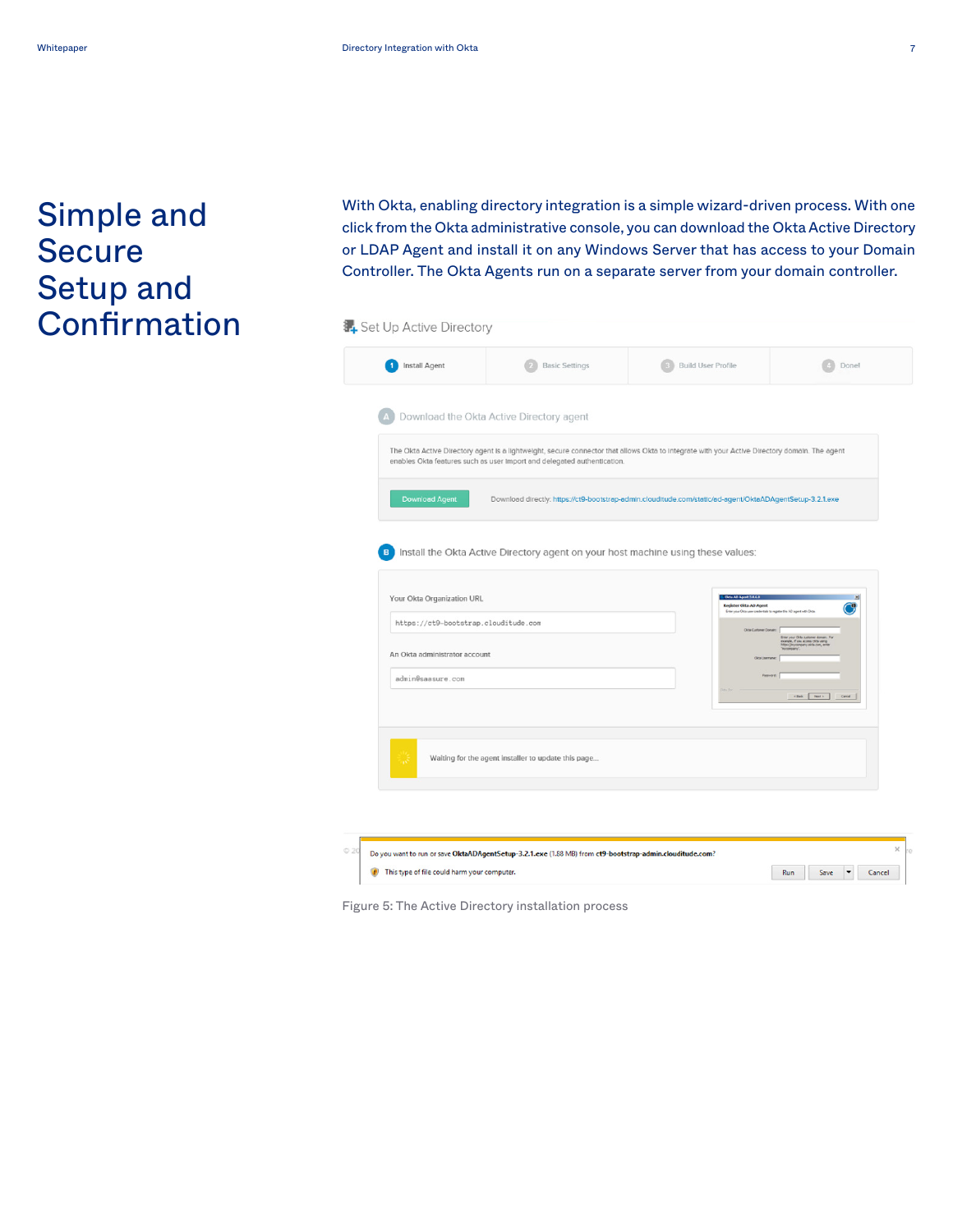# <span id="page-7-0"></span>Simple and Secure Setup and **Confirmation**

With Okta, enabling directory integration is a simple wizard-driven process. With one click from the Okta administrative console, you can download the Okta Active Directory or LDAP Agent and install it on any Windows Server that has access to your Domain Controller. The Okta Agents run on a separate server from your domain controller. Controller. The Okta Agents run on a separate server from your domain controller.

| Install Agent                        | <b>Basic Settings</b>                                                            | <b>Build User Profile</b>                                                                                                                     | Done!            |
|--------------------------------------|----------------------------------------------------------------------------------|-----------------------------------------------------------------------------------------------------------------------------------------------|------------------|
|                                      | Download the Okta Active Directory agent                                         |                                                                                                                                               |                  |
|                                      | enables Okta features such as user import and delegated authentication.          | The Okta Active Directory agent is a lightweight, secure connector that allows Okta to integrate with your Active Directory domain. The agent |                  |
| <b>Download Agent</b>                |                                                                                  | Download directly: https://ct9-bootstrap-admin.clouditude.com/static/ad-agent/OktaADAgentSetup-3.2.1.exe                                      |                  |
| B                                    | Install the Okta Active Directory agent on your host machine using these values: |                                                                                                                                               |                  |
| Your Okta Organization URL           |                                                                                  | Okta AD Aprof 3.0.6.0<br>Register Okta AD Agent<br>Erter your Olda user credentials to register this AD agent with Olda.                      |                  |
| https://ct9-bootstrap.clouditude.com |                                                                                  | Olds Customer Domain                                                                                                                          |                  |
|                                      |                                                                                  |                                                                                                                                               |                  |
| An Okta administrator account        |                                                                                  |                                                                                                                                               |                  |
| admin@saasure.com                    |                                                                                  |                                                                                                                                               |                  |
|                                      |                                                                                  |                                                                                                                                               | clist Ret> Carol |
| w                                    | Waiting for the agent installer to update this page                              |                                                                                                                                               |                  |
|                                      |                                                                                  |                                                                                                                                               |                  |

*Figure 5: The Active Directory installation process* Figure 5: The Active Directory installation process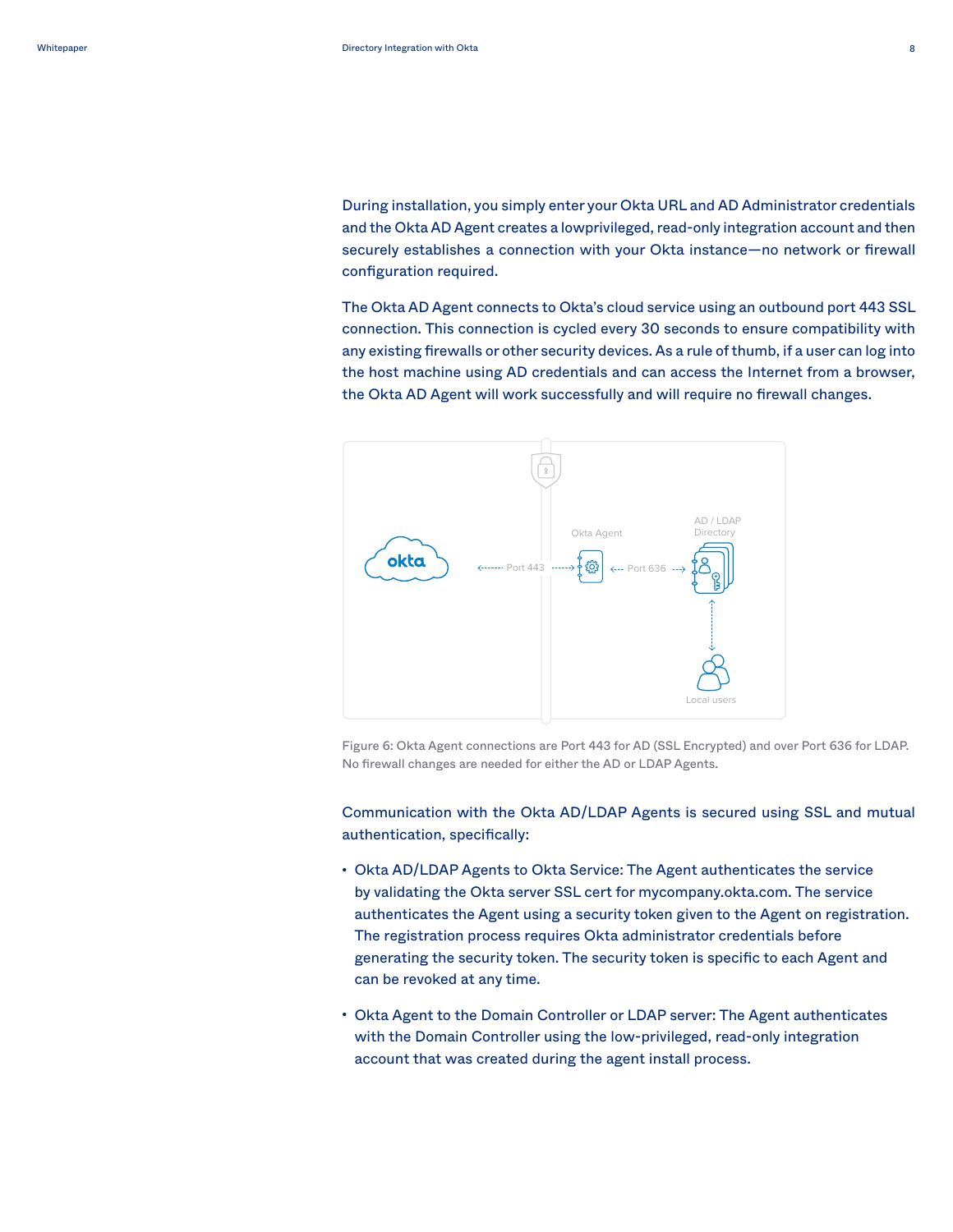During installation, you simply enter your Okta URL and AD Administrator credentials and the Okta AD Agent creates a lowprivileged, read-only integration account and then securely establishes a connection with your Okta instance—no network or firewall  $\mathsf{configuration}\ \mathsf{required}.$ production of  $\alpha$ 

The Okta AD Agent connects to Okta's cloud service using an outbound port 443 SSL connection. This connection is cycled every 30 seconds to ensure compatibility with any existing firewalls or other security devices. As a rule of thumb, if a user can log into the host machine using AD credentials and can access the Internet from a browser, the Okta AD Agent will work successfully and will require no firewall changes. 2. Import OUs and Groups (without the member attributes). schedule import pull down menu will be set to Never.



Figure 6: Okta Agent connections are Port 443 for AD (SSL Encrypted) and over Port 636 for LDAP. No firewall changes are needed for either the AD or LDAP Agents.

Communication with the Okta AD/LDAP Agents is secured using SSL and mutual authentication, specifically:

- Okta AD/LDAP Agents to Okta Service: The Agent authenticates the service authenticates the Agent using a security token given to the Agent on registration. The registration process requires Okta administrator credentials before generating the security token. The security token is specific to each Agent and can be revoked at any time. by validating the Okta server SSL cert for mycompany.okta.com. The service
- Okta Agent to the Domain Controller or LDAP server: The Agent authenticates with the Domain Controller using the low-privileged, read-only integration account that was created during the agent install process.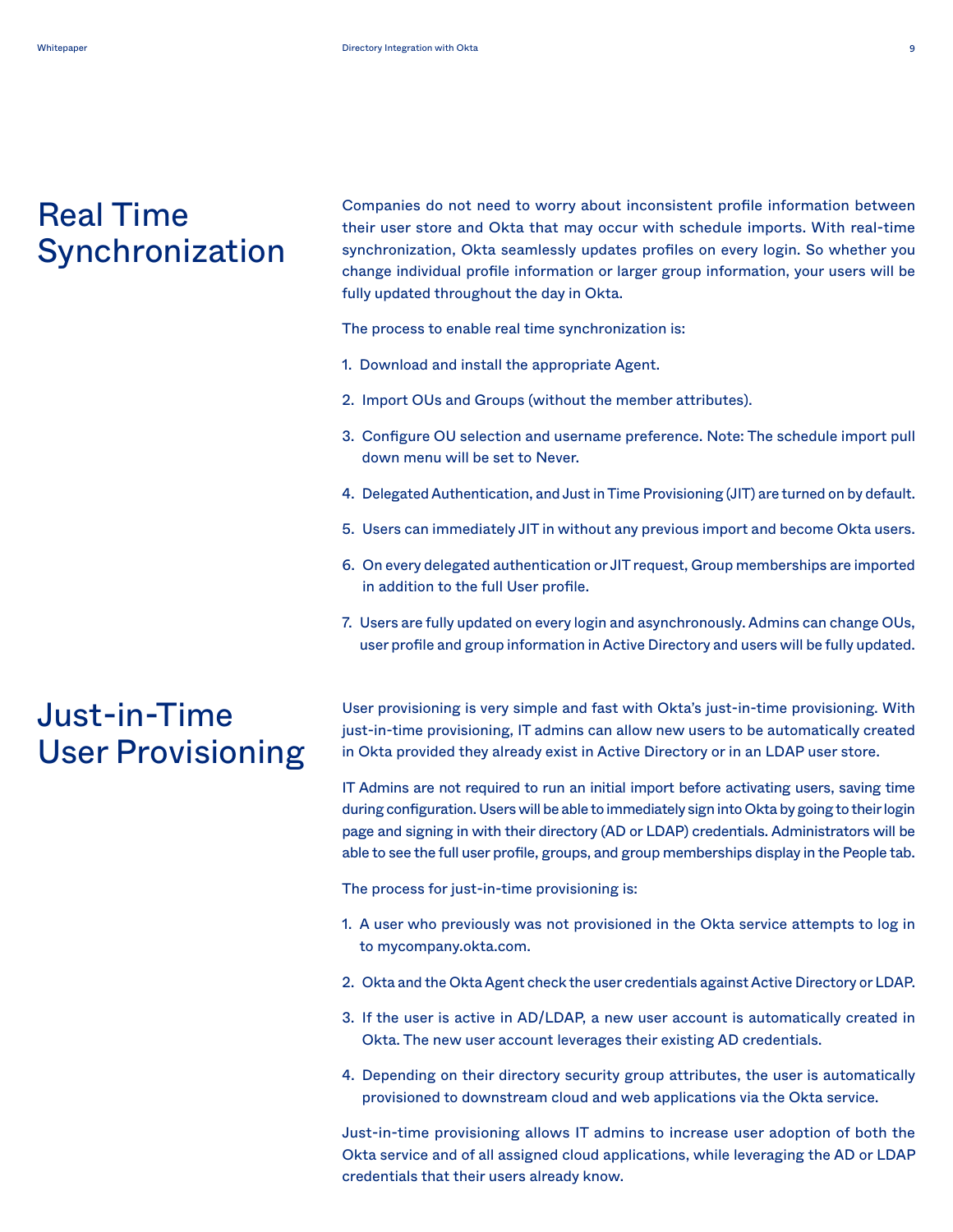# <span id="page-9-0"></span>Real Time Synchronization

Companies do not need to worry about inconsistent profile information between their user store and Okta that may occur with schedule imports. With real-time synchronization, Okta seamlessly updates profiles on every login. So whether you change individual profile information or larger group information, your users will be fully updated throughout the day in Okta.

The process to enable real time synchronization is:

- 1. Download and install the appropriate Agent.
- 2. Import OUs and Groups (without the member attributes).
- 3. Configure OU selection and username preference. Note: The schedule import pull down menu will be set to Never.
- 4. Delegated Authentication, and Just in Time Provisioning (JIT) are turned on by default.
- 5. Users can immediately JIT in without any previous import and become Okta users.
- 6. On every delegated authentication or JIT request, Group memberships are imported in addition to the full User profile.
- 7. Users are fully updated on every login and asynchronously. Admins can change OUs, user profile and group information in Active Directory and users will be fully updated.

### Just-in-Time User Provisioning

User provisioning is very simple and fast with Okta's just-in-time provisioning. With just-in-time provisioning, IT admins can allow new users to be automatically created in Okta provided they already exist in Active Directory or in an LDAP user store.

IT Admins are not required to run an initial import before activating users, saving time during configuration. Users will be able to immediately sign into Okta by going to their login page and signing in with their directory (AD or LDAP) credentials. Administrators will be able to see the full user profile, groups, and group memberships display in the People tab.

The process for just-in-time provisioning is:

- 1. A user who previously was not provisioned in the Okta service attempts to log in to mycompany.okta.com.
- 2. Okta and the Okta Agent check the user credentials against Active Directory or LDAP.
- 3. If the user is active in AD/LDAP, a new user account is automatically created in Okta. The new user account leverages their existing AD credentials.
- 4. Depending on their directory security group attributes, the user is automatically provisioned to downstream cloud and web applications via the Okta service.

Just-in-time provisioning allows IT admins to increase user adoption of both the Okta service and of all assigned cloud applications, while leveraging the AD or LDAP credentials that their users already know.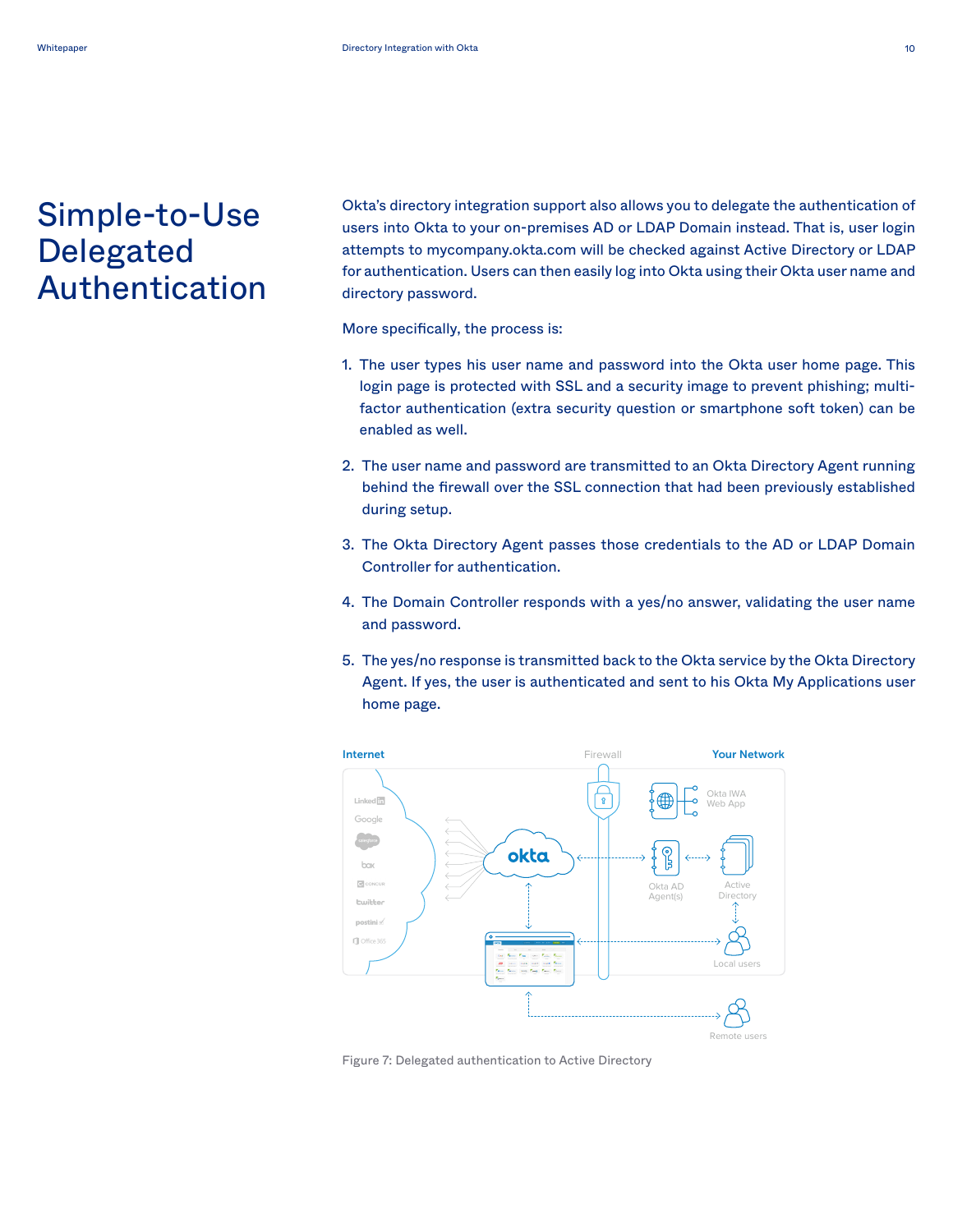### <span id="page-10-0"></span>Simple-to-Use users, saving time during configuration. Users will be able to Delegated Authentication

Okta's directory integration support also allows you to delegate the authentication of users into Okta to your on-premises AD or LDAP Domain instead. That is, user login attempts to mycompany.okta.com will be checked against Active Directory or LDAP for authentication. Users can then easily log into Okta using their Okta user name and directory password. The user types his user name and password into the Okta user name and password into the Ok

More specifically, the process is:

- 1. The user types his user name and password into the Okta user home page. This login page is protected with SSL and a security image to prevent phishing; multiregin page to processed that occuring a occurity mage to protein phishing, materially factor authentication (extra security question or smartphone soft token) can be enabled as well. The user name and password are transmitted to an Okta are transmitted to an Okta are transmitted to an Okta and particles are transmitted to an Okta are transmitted to an Okta are transmitted to an Okta ar
- .<br>2. The user name and password are transmitted to an Okta Directory Agent running behind the firewall over the SSL connection that had been previously established during setup. The Okta Directory Agent passes that  $\alpha$
- 3. The Okta Directory Agent passes those credentials to the AD or LDAP Domain Controller for authentication.
- 4. The Domain Controller responds with a yes/no answer, validating the user name and password. The yes-no response is transmitted by  $\mathcal{L}$
- 5. The yes/no response is transmitted back to the Okta service by the Okta Directory Agent. If yes, the user is authenticated and sent to his Okta My Applications user home page.



Figure 7: Delegated authentication to Active Directory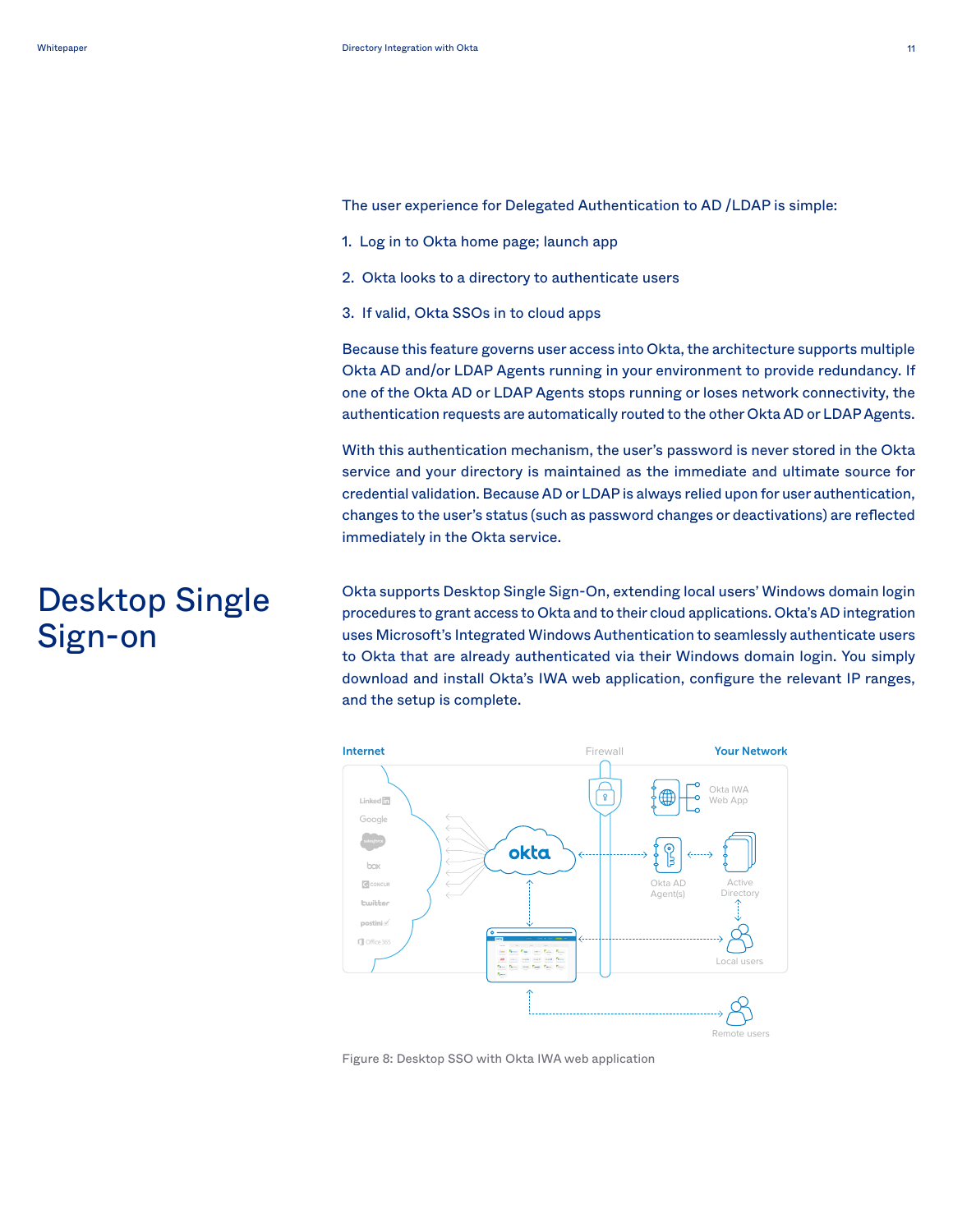<span id="page-11-0"></span>The user experience for Delegated Authentication to AD /LDAP is simple:

- 1. Log in to Okta home page; launch app
- 2. Okta looks to a directory to authenticate users
- 3. If valid, Okta SSOs in to cloud apps

Because this feature governs user access into Okta, the architecture supports multiple Okta AD and/or LDAP Agents running in your environment to provide redundancy. If **White paper** one of the Okta AD or LDAP Agents stops running or loses network connectivity, the authentication requests are automatically routed to the other Okta AD or LDAP Agents.

With this authentication mechanism, the user's password is never stored in the Okta **Desktop Single Sign-On** service and your directory is maintained as the immediate and ultimate source for credential validation. Because AD or LDAP is always relied upon for user authentication, changes to the user's status (such as password changes or deactivations) are reflected immediately in the Okta service.

Okta supports Desktop Single Sign-On, extending local users' Windows domain login procedures to grant access to Okta and to their cloud applications. Okta's AD integration uses Microsoft's Integrated Windows Authentication to seamlessly authenticate users<br>. to Okta that are already authenticated via their Windows domain login. You simply download and install Okta's IWA web application, configure the relevant IP ranges, and the setup is complete.



Figure 8: Desktop SSO with Okta IWA web application

# Desktop Single Sign-on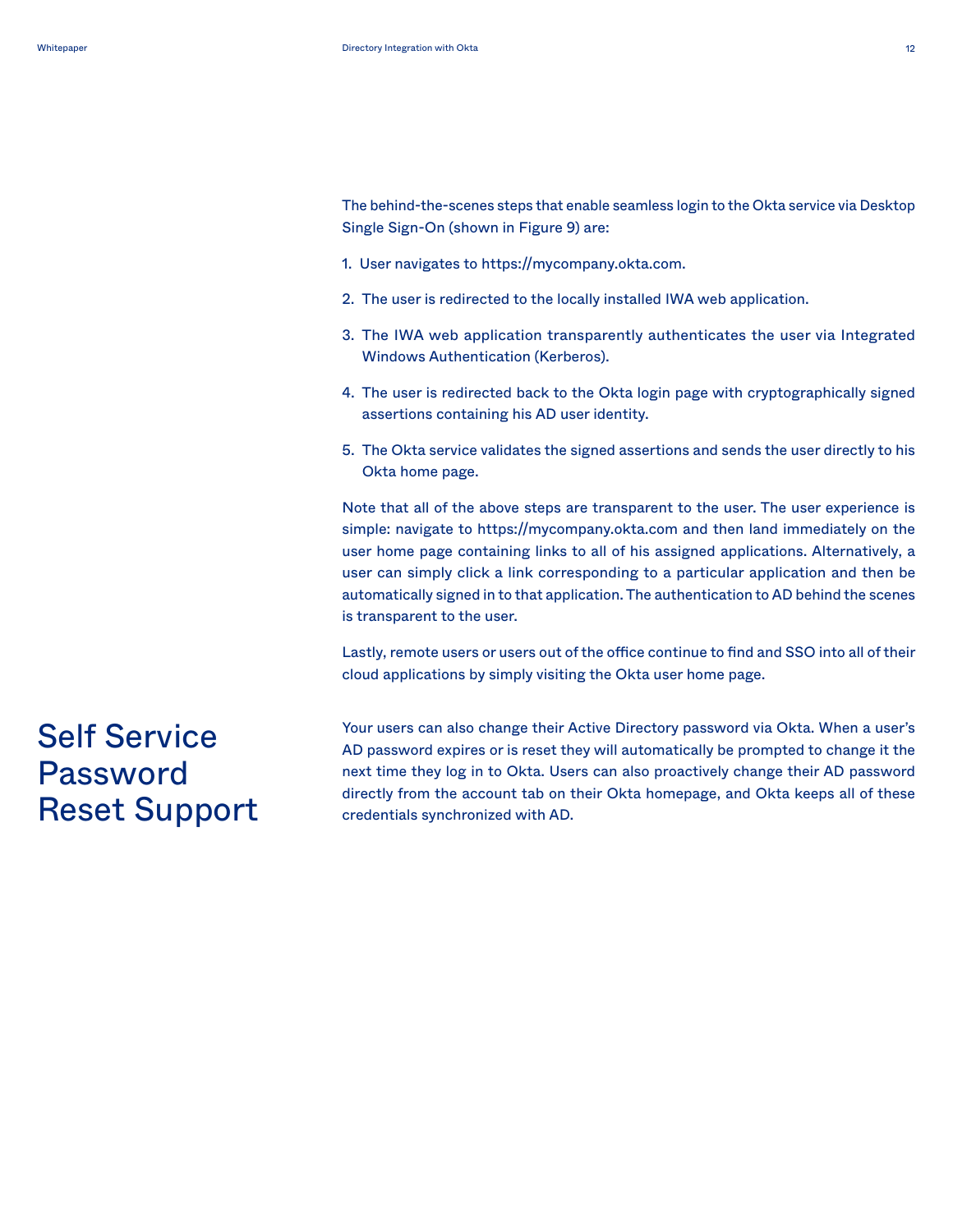<span id="page-12-0"></span>The behind-the-scenes steps that enable seamless login to the Okta service via Desktop Single Sign-On (shown in Figure 9) are:

- 1. User navigates to https://mycompany.okta.com.
- 2. The user is redirected to the locally installed IWA web application.
- 3. The IWA web application transparently authenticates the user via Integrated Windows Authentication (Kerberos).
- 4. The user is redirected back to the Okta login page with cryptographically signed assertions containing his AD user identity.
- 5. The Okta service validates the signed assertions and sends the user directly to his Okta home page.

Note that all of the above steps are transparent to the user. The user experience is simple: navigate to https://mycompany.okta.com and then land immediately on the user home page containing links to all of his assigned applications. Alternatively, a user can simply click a link corresponding to a particular application and then be automatically signed in to that application. The authentication to AD behind the scenes is transparent to the user.

Lastly, remote users or users out of the office continue to find and SSO into all of their cloud applications by simply visiting the Okta user home page.

Self Service Password Reset Support Your users can also change their Active Directory password via Okta. When a user's AD password expires or is reset they will automatically be prompted to change it the next time they log in to Okta. Users can also proactively change their AD password directly from the account tab on their Okta homepage, and Okta keeps all of these credentials synchronized with AD.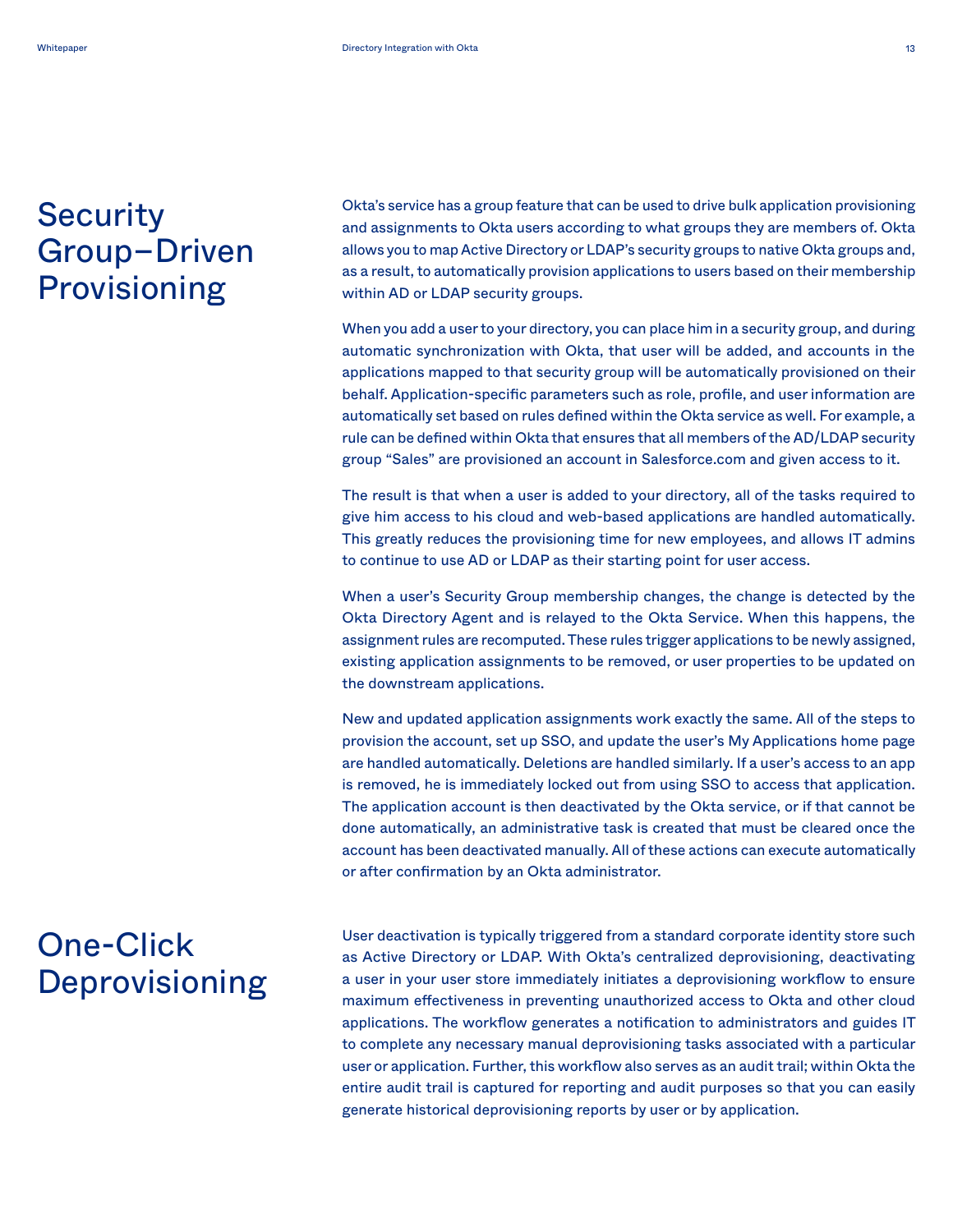# <span id="page-13-0"></span>**Security** Group–Driven Provisioning

Okta's service has a group feature that can be used to drive bulk application provisioning and assignments to Okta users according to what groups they are members of. Okta allows you to map Active Directory or LDAP's security groups to native Okta groups and, as a result, to automatically provision applications to users based on their membership within AD or LDAP security groups.

When you add a user to your directory, you can place him in a security group, and during automatic synchronization with Okta, that user will be added, and accounts in the applications mapped to that security group will be automatically provisioned on their behalf. Application-specific parameters such as role, profile, and user information are automatically set based on rules defined within the Okta service as well. For example, a rule can be defined within Okta that ensures that all members of the AD/LDAP security group "Sales" are provisioned an account in Salesforce.com and given access to it.

The result is that when a user is added to your directory, all of the tasks required to give him access to his cloud and web-based applications are handled automatically. This greatly reduces the provisioning time for new employees, and allows IT admins to continue to use AD or LDAP as their starting point for user access.

When a user's Security Group membership changes, the change is detected by the Okta Directory Agent and is relayed to the Okta Service. When this happens, the assignment rules are recomputed. These rules trigger applications to be newly assigned, existing application assignments to be removed, or user properties to be updated on the downstream applications.

New and updated application assignments work exactly the same. All of the steps to provision the account, set up SSO, and update the user's My Applications home page are handled automatically. Deletions are handled similarly. If a user's access to an app is removed, he is immediately locked out from using SSO to access that application. The application account is then deactivated by the Okta service, or if that cannot be done automatically, an administrative task is created that must be cleared once the account has been deactivated manually. All of these actions can execute automatically or after confirmation by an Okta administrator.

# One-Click Deprovisioning

User deactivation is typically triggered from a standard corporate identity store such as Active Directory or LDAP. With Okta's centralized deprovisioning, deactivating a user in your user store immediately initiates a deprovisioning workflow to ensure maximum effectiveness in preventing unauthorized access to Okta and other cloud applications. The workflow generates a notification to administrators and guides IT to complete any necessary manual deprovisioning tasks associated with a particular user or application. Further, this workflow also serves as an audit trail; within Okta the entire audit trail is captured for reporting and audit purposes so that you can easily generate historical deprovisioning reports by user or by application.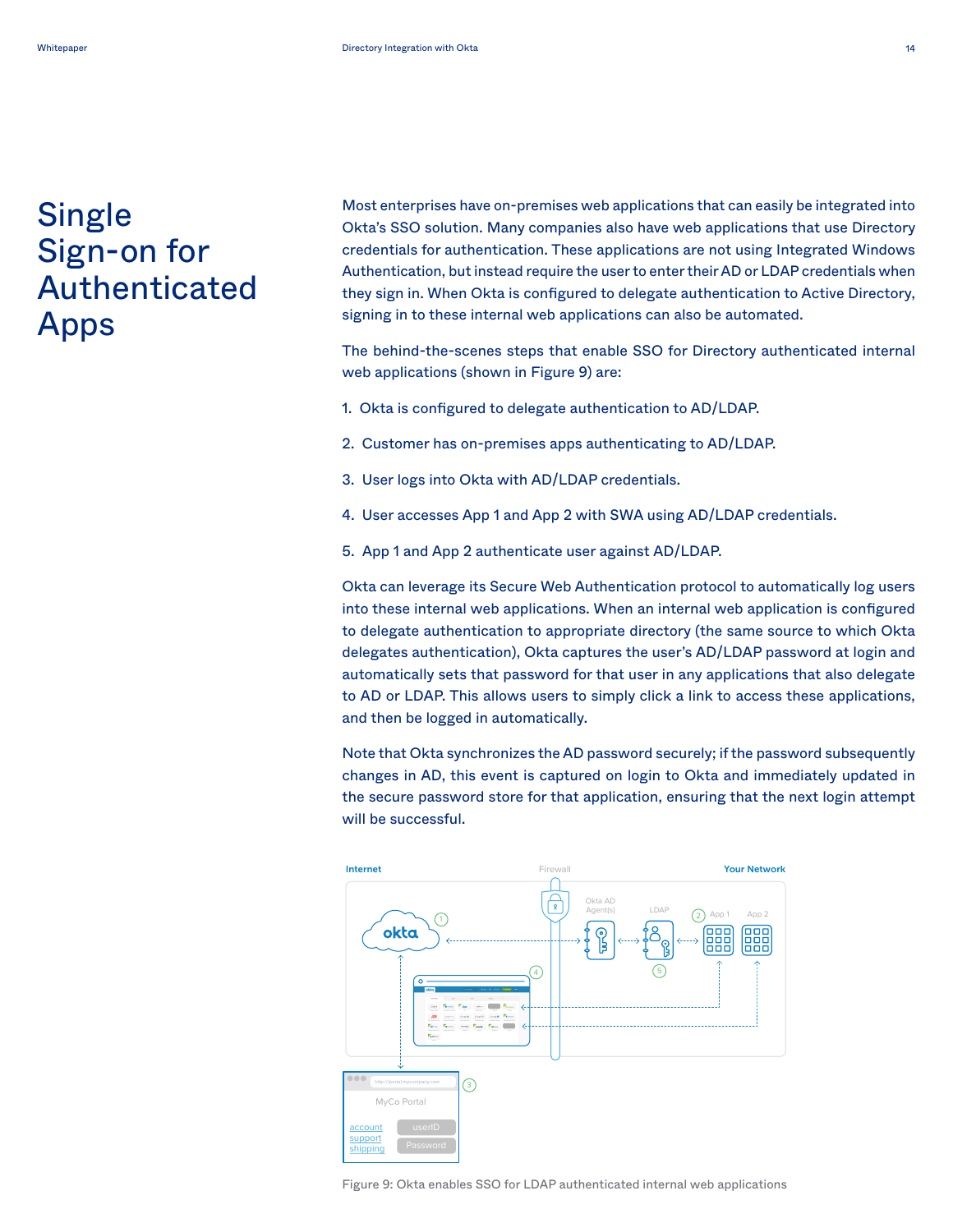# <span id="page-14-0"></span>**Single** Sign-on for Authenticated Apps

Most enterprises have on-premises web applications that can easily be integrated into Okta's SSO solution. Many companies also have web applications that use Directory credentials for authentication. These applications are not using Integrated Windows Authentication, but instead require the user to enter their AD or LDAP credentials when they sign in. When Okta is configured to delegate authentication to Active Directory, signing in to these internal web applications can also be automated. **White paper**

The behind-the-scenes steps that enable SSO for Directory authenticated internal web applications (shown in Figure 9) are:

- 1. Okta is configured to delegate authentication to AD/LDAP.
- 2. Customer has on-premises apps authenticating to AD/LDAP.
- 3. User logs into Okta with AD/LDAP credentials.
- 4. User accesses App 1 and App 2 with SWA using AD/LDAP credentials.
- 5. App 1 and App 2 authenticate user against AD/LDAP.

Okta can leverage its Secure Web Authentication protocol to automatically log users into these internal web applications. When an internal web application is configured to delegate authentication to appropriate directory (the same source to which Okta delegates authentication), Okta captures the user's AD/LDAP password at login and automatically sets that password for that user in any applications that also delegate to AD or LDAP. This allows users to simply click a link to access these applications, and then be logged in automatically.

Note that Okta synchronizes the AD password securely; if the password subsequently changes in AD, this event is captured on login to Okta and immediately updated in the secure password store for that application, ensuring that the next login attempt will be successful. be successful.



Figure 9: Okta enables SSO for LDAP authenticated internal web applications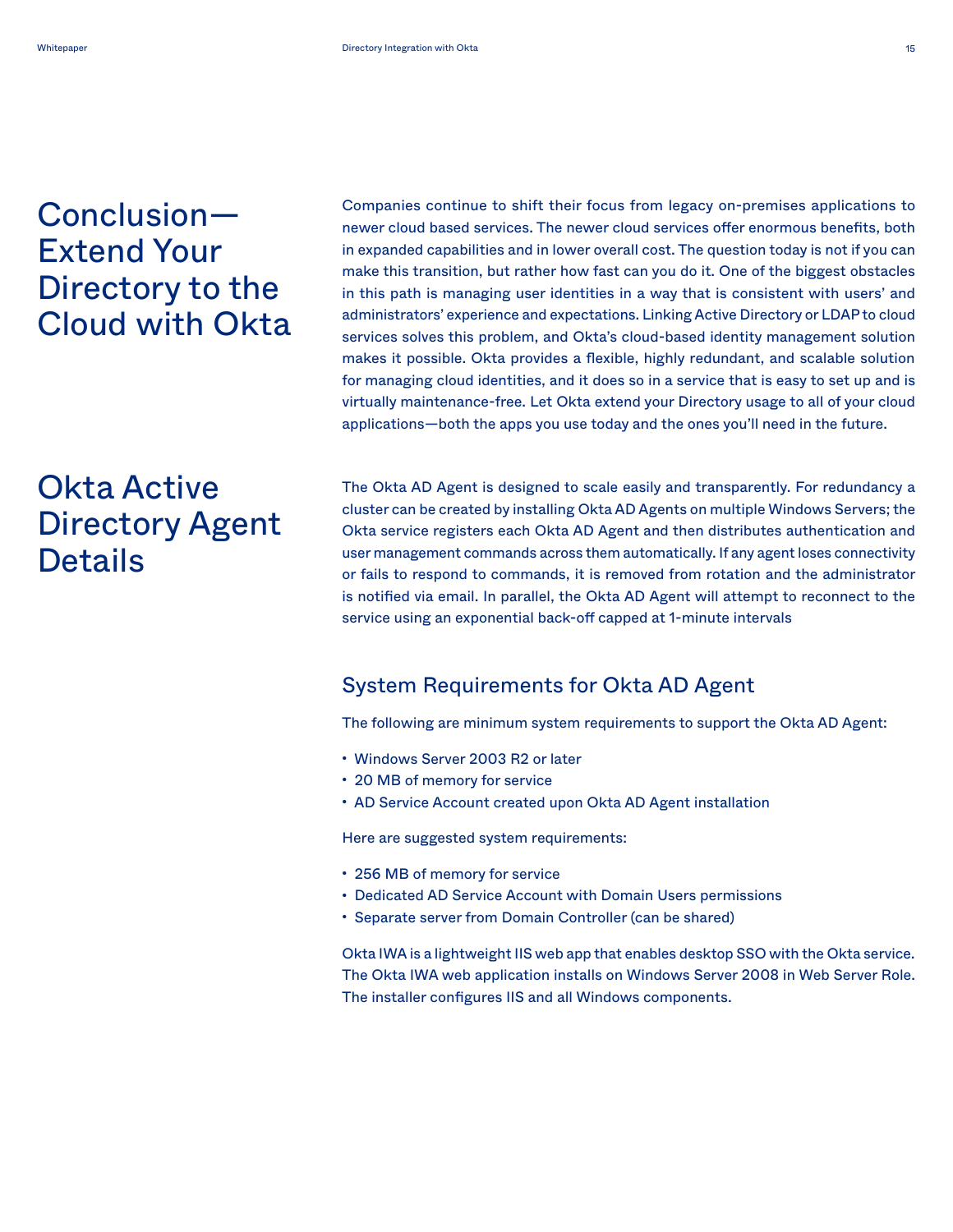# <span id="page-15-0"></span>Conclusion— Extend Your Directory to the Cloud with Okta

# Okta Active Directory Agent **Details**

Companies continue to shift their focus from legacy on-premises applications to newer cloud based services. The newer cloud services offer enormous benefits, both in expanded capabilities and in lower overall cost. The question today is not if you can make this transition, but rather how fast can you do it. One of the biggest obstacles in this path is managing user identities in a way that is consistent with users' and administrators' experience and expectations. Linking Active Directory or LDAP to cloud services solves this problem, and Okta's cloud-based identity management solution makes it possible. Okta provides a flexible, highly redundant, and scalable solution for managing cloud identities, and it does so in a service that is easy to set up and is virtually maintenance-free. Let Okta extend your Directory usage to all of your cloud applications—both the apps you use today and the ones you'll need in the future.

The Okta AD Agent is designed to scale easily and transparently. For redundancy a cluster can be created by installing Okta AD Agents on multiple Windows Servers; the Okta service registers each Okta AD Agent and then distributes authentication and user management commands across them automatically. If any agent loses connectivity or fails to respond to commands, it is removed from rotation and the administrator is notified via email. In parallel, the Okta AD Agent will attempt to reconnect to the service using an exponential back-off capped at 1-minute intervals

### System Requirements for Okta AD Agent

The following are minimum system requirements to support the Okta AD Agent:

- Windows Server 2003 R2 or later
- 20 MB of memory for service
- AD Service Account created upon Okta AD Agent installation

Here are suggested system requirements:

- 256 MB of memory for service
- Dedicated AD Service Account with Domain Users permissions
- Separate server from Domain Controller (can be shared)

Okta IWA is a lightweight IIS web app that enables desktop SSO with the Okta service. The Okta IWA web application installs on Windows Server 2008 in Web Server Role. The installer configures IIS and all Windows components.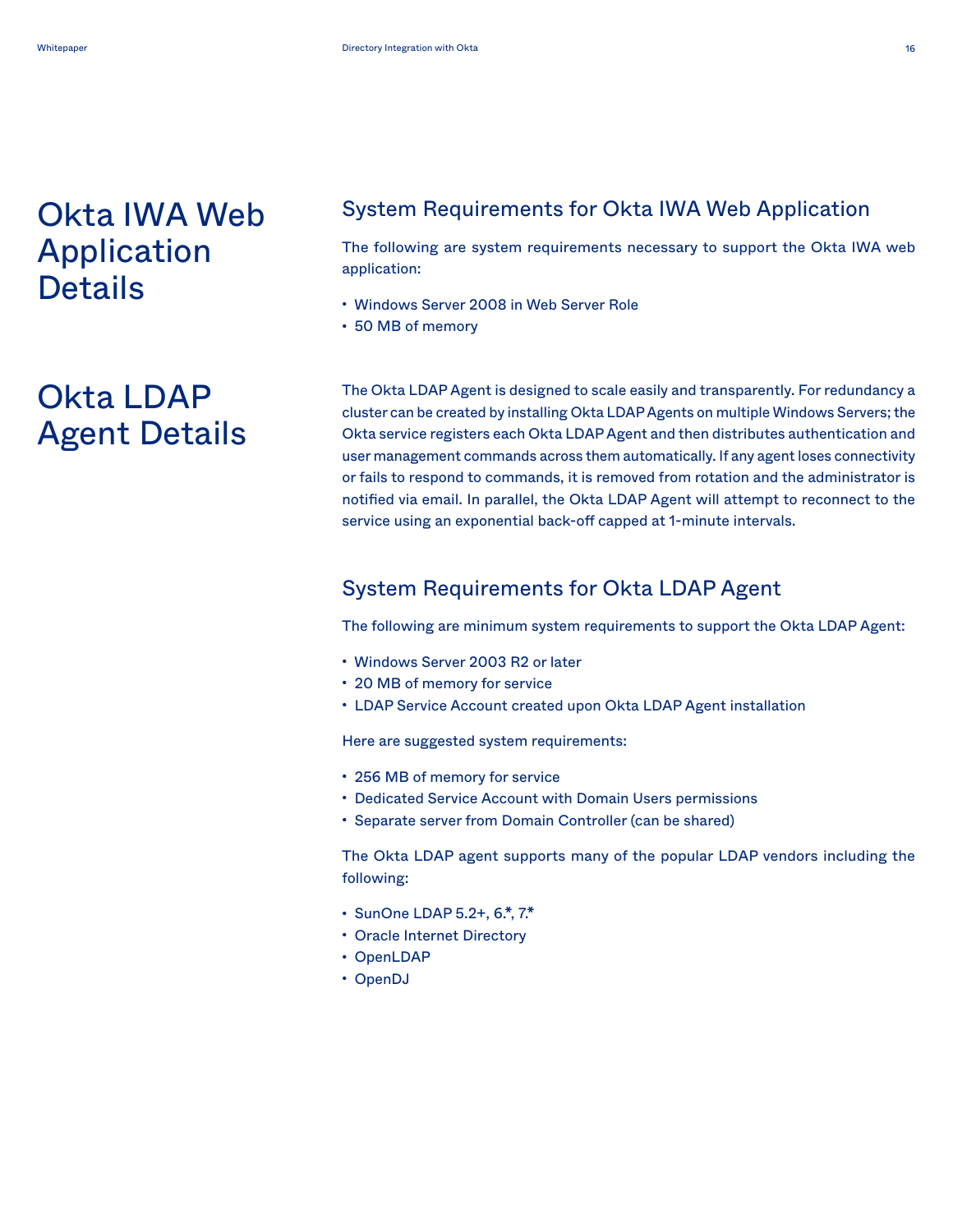## <span id="page-16-0"></span>Okta IWA Web Application **Details**

# Okta LDAP Agent Details

### System Requirements for Okta IWA Web Application

The following are system requirements necessary to support the Okta IWA web application:

- Windows Server 2008 in Web Server Role
- 50 MB of memory

The Okta LDAP Agent is designed to scale easily and transparently. For redundancy a cluster can be created by installing Okta LDAP Agents on multiple Windows Servers; the Okta service registers each Okta LDAP Agent and then distributes authentication and user management commands across them automatically. If any agent loses connectivity or fails to respond to commands, it is removed from rotation and the administrator is notified via email. In parallel, the Okta LDAP Agent will attempt to reconnect to the service using an exponential back-off capped at 1-minute intervals.

### System Requirements for Okta LDAP Agent

The following are minimum system requirements to support the Okta LDAP Agent:

- Windows Server 2003 R2 or later
- 20 MB of memory for service
- LDAP Service Account created upon Okta LDAP Agent installation

Here are suggested system requirements:

- 256 MB of memory for service
- Dedicated Service Account with Domain Users permissions
- Separate server from Domain Controller (can be shared)

The Okta LDAP agent supports many of the popular LDAP vendors including the following:

- SunOne LDAP 5.2+, 6.\*, 7.\*
- Oracle Internet Directory
- OpenLDAP
- OpenDJ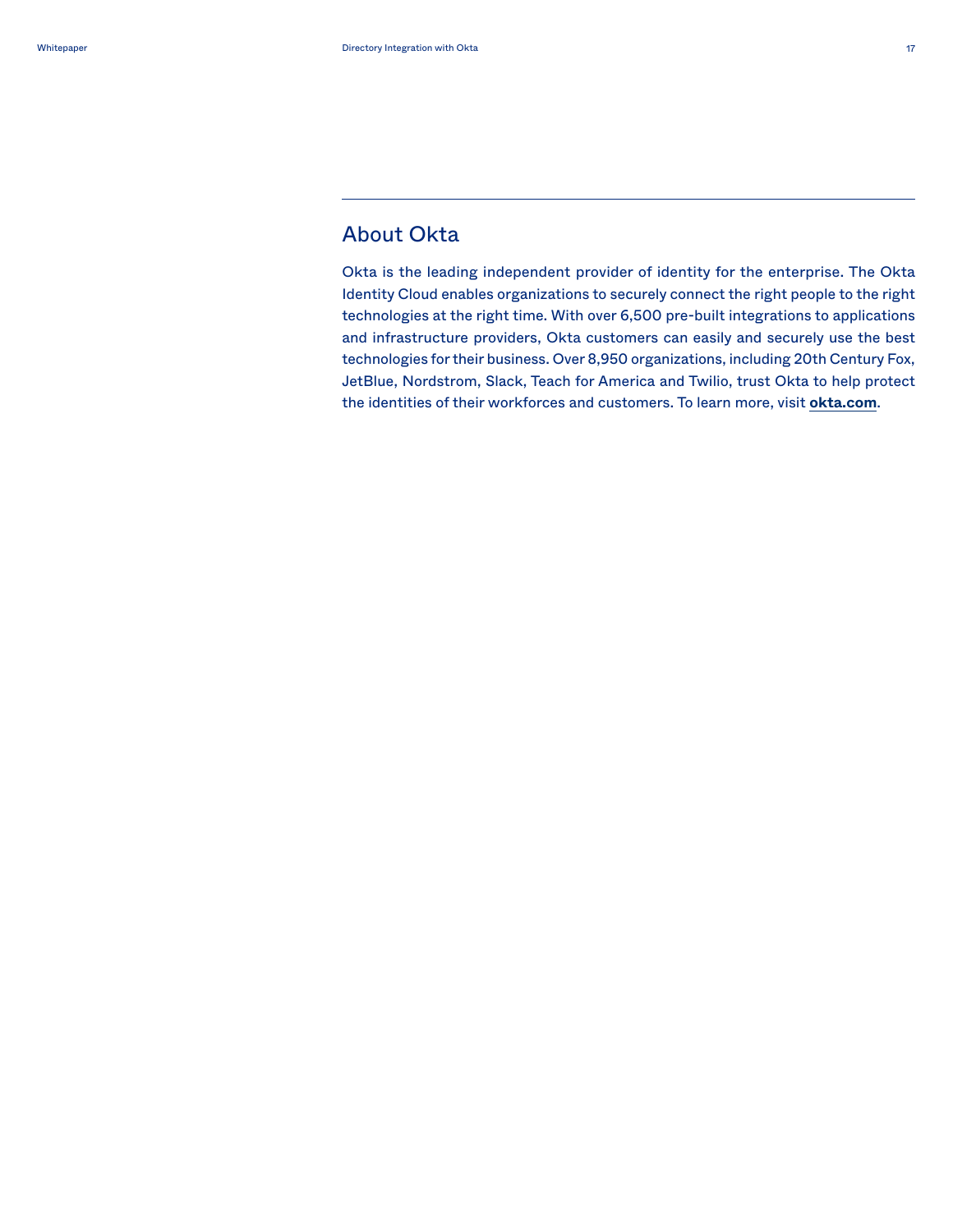### About Okta

Okta is the leading independent provider of identity for the enterprise. The Okta Identity Cloud enables organizations to securely connect the right people to the right technologies at the right time. With over 6,500 pre-built integrations to applications and infrastructure providers, Okta customers can easily and securely use the best technologies for their business. Over 8,950 organizations, including 20th Century Fox, JetBlue, Nordstrom, Slack, Teach for America and Twilio, trust Okta to help protect the identities of their workforces and customers. To learn more, visit **[okta.com](http://okta.com)**.